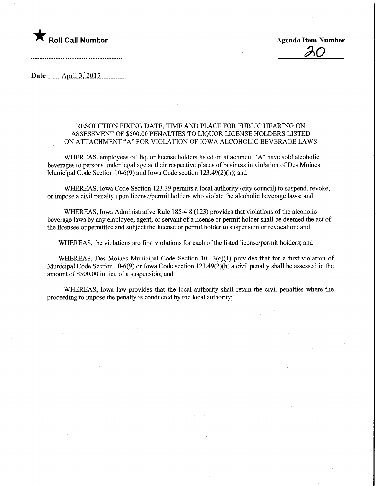## $\blacktriangledown$  Roll Call Number  $\blacktriangledown$  Roll Call Number

<u>20</u>

Date ........AprU.3,.2017.

## RESOLUTION FIXING DATE, TIME AND PLACE FOR PUBLIC HEARING ON ASSESSMENT OF \$500.00 PENALTIES TO LIQUOR LICENSE HOLDERS LISTED ON ATTACHMENT "A" FOR VIOLATION OF IOWA ALCOHOLIC BEVERAGE LAWS

WHEREAS, employees of liquor license holders listed on attachment "A" have sold alcoholic beverages to persons under legal age at their respective places of business in violation of Des Moines Municipal Code Section 10-6(9) and Iowa Code section 123.49(2)(h); and

WHEREAS, Iowa Code Section 123.39 permits a local authority (city council) to suspend, revoke, or impose a civil penalty upon license/pennit holders who violate the alcoholic beverage laws; and

WHEREAS, Iowa Administrative Rule 185-4.8 (123) provides that violations of the alcoholic beverage laws by any employee, agent, or servant of a license or permit holder shall be deemed the act of the licensee or permittee and subject the license or permit holder to suspension or revocation; and

WHEREAS, the violations are first violations for each of the listed license/permit holders; and

WHEREAS, Des Moines Municipal Code Section  $10-13(c)(1)$  provides that for a first violation of Municipal Code Section 10-6(9) or Iowa Code section 123.49(2)(h) a civil penalty shall be assessed in the amount of \$500.00 in lieu of a suspension; and

WHEREAS, Iowa law provides that the local authority shall retain the civil penalties where the proceeding to impose the penalty is conducted by the local authority;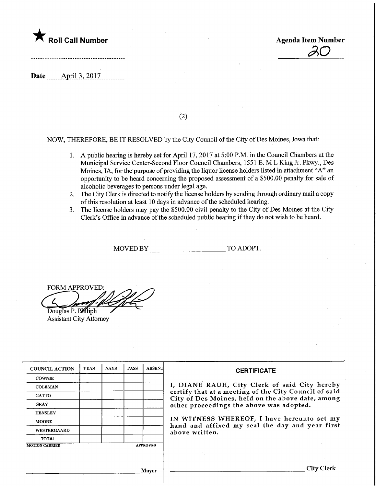

Agenda Item Number  $\overline{30}$ 

Date ........Apnl.3,.2017.

 $(2)$ 

NOW, THEREFORE, BE IT RESOLVED by the City Council of the City of Des Moines, Iowa that:

- 1. A public hearing is hereby set for April 17, 2017 at 5:00 P.M. in the Council Chambers at the Municipal Service Center-Second Floor Council Chambers, 1551 E. M L King Jr. Pkwy., Des Moines, IA, for the purpose of providing the liquor license holders listed in attachment "A" an opportunity to be heard concerning the proposed assessment of a \$500.00 penalty for sale of alcoholic beverages to persons under legal age.
- 2. The City Clerk is directed to notify the license holders by sending through ordinary mail a copy of this resolution at least 10 days in advance of the scheduled hearing.
- 3. The license holders may pay the \$500.00 civil penalty to the City of Des Moines at the City Clerk's Office in advance of the scheduled public hearing if they do not wish to be heard.

MOVED BY TO ADOPT.

FORM APPROVED:

Douglas P. Philiph Assistant City Attorney

| <b>COUNCIL ACTION</b> | <b>YEAS</b> | <b>NAYS</b> | <b>PASS</b> | <b>ABSENT</b>   | <b>CERTIFICATE</b>                                                                                         |  |  |  |  |
|-----------------------|-------------|-------------|-------------|-----------------|------------------------------------------------------------------------------------------------------------|--|--|--|--|
| <b>COWNIE</b>         |             |             |             |                 |                                                                                                            |  |  |  |  |
| <b>COLEMAN</b>        |             |             |             |                 | I, DIANE RAUH, City Clerk of said City hereby                                                              |  |  |  |  |
| <b>GATTO</b>          |             |             |             |                 | certify that at a meeting of the City Council of said<br>City of Des Moines, held on the above date, among |  |  |  |  |
| <b>GRAY</b>           |             |             |             |                 | other proceedings the above was adopted.                                                                   |  |  |  |  |
| <b>HENSLEY</b>        |             |             |             |                 |                                                                                                            |  |  |  |  |
| <b>MOORE</b>          |             |             |             |                 | IN WITNESS WHEREOF, I have hereunto set my<br>hand and affixed my seal the day and year first              |  |  |  |  |
| <b>WESTERGAARD</b>    |             |             |             |                 | above written.                                                                                             |  |  |  |  |
| <b>TOTAL</b>          |             |             |             |                 |                                                                                                            |  |  |  |  |
| <b>MOTION CARRIED</b> |             |             |             | <b>APPROVED</b> |                                                                                                            |  |  |  |  |
|                       |             |             |             |                 |                                                                                                            |  |  |  |  |
|                       |             |             |             |                 |                                                                                                            |  |  |  |  |
|                       |             |             |             | Mayor           | City C                                                                                                     |  |  |  |  |